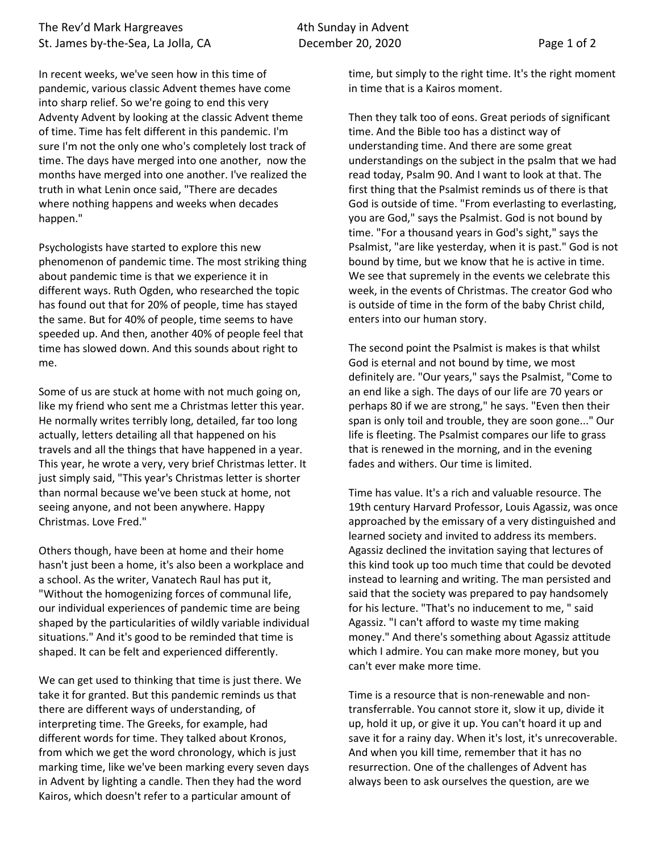## The Rev'd Mark Hargreaves The Rev'd Mark Hargreaves St. James by-the-Sea, La Jolla, CA December 20, 2020 Page 1 of 2

In recent weeks, we've seen how in this time of pandemic, various classic Advent themes have come into sharp relief. So we're going to end this very Adventy Advent by looking at the classic Advent theme of time. Time has felt different in this pandemic. I'm sure I'm not the only one who's completely lost track of time. The days have merged into one another, now the months have merged into one another. I've realized the truth in what Lenin once said, "There are decades where nothing happens and weeks when decades happen."

Psychologists have started to explore this new phenomenon of pandemic time. The most striking thing about pandemic time is that we experience it in different ways. Ruth Ogden, who researched the topic has found out that for 20% of people, time has stayed the same. But for 40% of people, time seems to have speeded up. And then, another 40% of people feel that time has slowed down. And this sounds about right to me.

Some of us are stuck at home with not much going on, like my friend who sent me a Christmas letter this year. He normally writes terribly long, detailed, far too long actually, letters detailing all that happened on his travels and all the things that have happened in a year. This year, he wrote a very, very brief Christmas letter. It just simply said, "This year's Christmas letter is shorter than normal because we've been stuck at home, not seeing anyone, and not been anywhere. Happy Christmas. Love Fred."

Others though, have been at home and their home hasn't just been a home, it's also been a workplace and a school. As the writer, Vanatech Raul has put it, "Without the homogenizing forces of communal life, our individual experiences of pandemic time are being shaped by the particularities of wildly variable individual situations." And it's good to be reminded that time is shaped. It can be felt and experienced differently.

We can get used to thinking that time is just there. We take it for granted. But this pandemic reminds us that there are different ways of understanding, of interpreting time. The Greeks, for example, had different words for time. They talked about Kronos, from which we get the word chronology, which is just marking time, like we've been marking every seven days in Advent by lighting a candle. Then they had the word Kairos, which doesn't refer to a particular amount of

time, but simply to the right time. It's the right moment in time that is a Kairos moment.

Then they talk too of eons. Great periods of significant time. And the Bible too has a distinct way of understanding time. And there are some great understandings on the subject in the psalm that we had read today, Psalm 90. And I want to look at that. The first thing that the Psalmist reminds us of there is that God is outside of time. "From everlasting to everlasting, you are God," says the Psalmist. God is not bound by time. "For a thousand years in God's sight," says the Psalmist, "are like yesterday, when it is past." God is not bound by time, but we know that he is active in time. We see that supremely in the events we celebrate this week, in the events of Christmas. The creator God who is outside of time in the form of the baby Christ child, enters into our human story.

The second point the Psalmist is makes is that whilst God is eternal and not bound by time, we most definitely are. "Our years," says the Psalmist, "Come to an end like a sigh. The days of our life are 70 years or perhaps 80 if we are strong," he says. "Even then their span is only toil and trouble, they are soon gone..." Our life is fleeting. The Psalmist compares our life to grass that is renewed in the morning, and in the evening fades and withers. Our time is limited.

Time has value. It's a rich and valuable resource. The 19th century Harvard Professor, Louis Agassiz, was once approached by the emissary of a very distinguished and learned society and invited to address its members. Agassiz declined the invitation saying that lectures of this kind took up too much time that could be devoted instead to learning and writing. The man persisted and said that the society was prepared to pay handsomely for his lecture. "That's no inducement to me, " said Agassiz. "I can't afford to waste my time making money." And there's something about Agassiz attitude which I admire. You can make more money, but you can't ever make more time.

Time is a resource that is non-renewable and nontransferrable. You cannot store it, slow it up, divide it up, hold it up, or give it up. You can't hoard it up and save it for a rainy day. When it's lost, it's unrecoverable. And when you kill time, remember that it has no resurrection. One of the challenges of Advent has always been to ask ourselves the question, are we